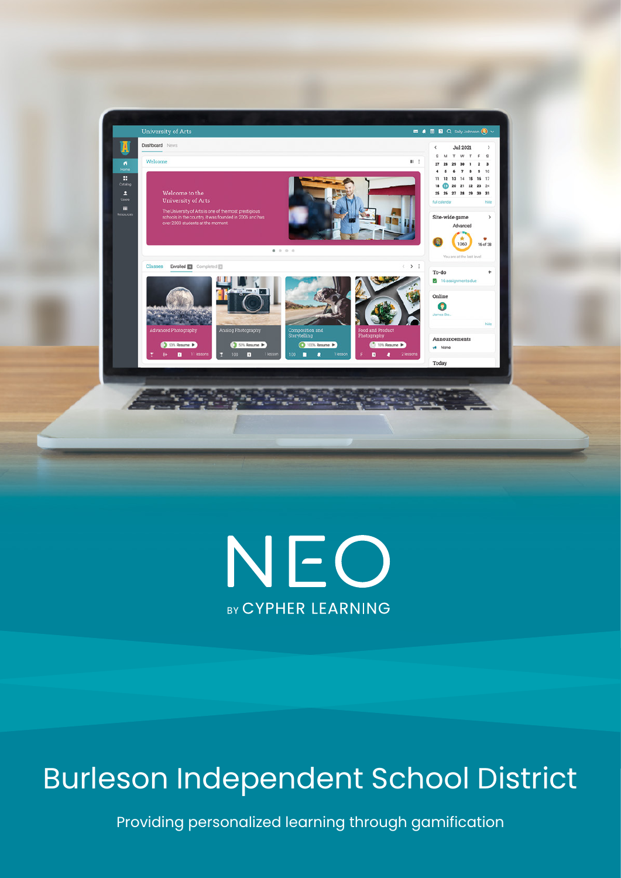



# Burleson Independent School District

Providing personalized learning through gamification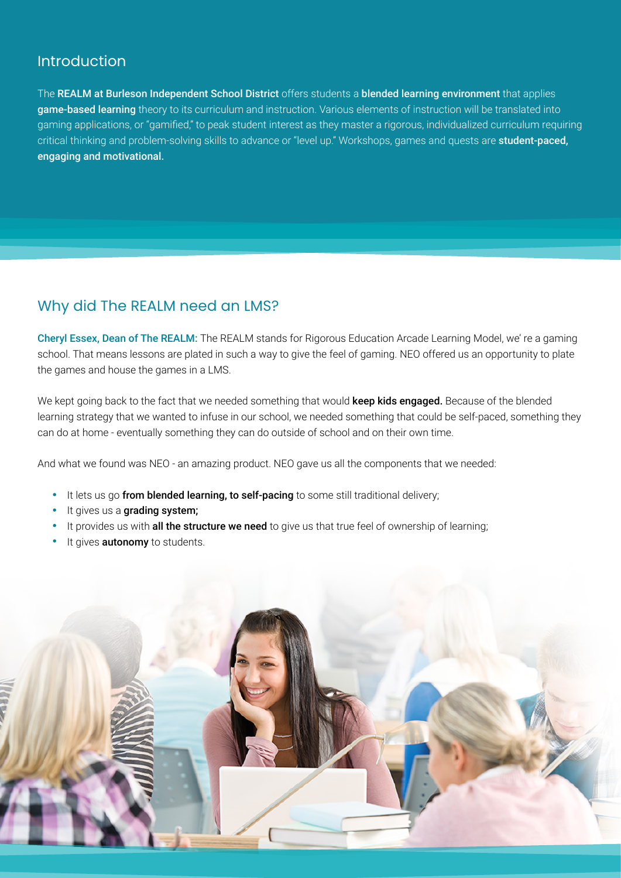#### Introduction

The REALM at Burleson Independent School District offers students a blended learning environment that applies game-based learning theory to its curriculum and instruction. Various elements of instruction will be translated into gaming applications, or "gamified," to peak student interest as they master a rigorous, individualized curriculum requiring critical thinking and problem-solving skills to advance or "level up." Workshops, games and quests are student-paced, engaging and motivational.

# Why did The REALM need an LMS?

Cheryl Essex, Dean of The REALM: The REALM stands for Rigorous Education Arcade Learning Model, we' re a gaming school. That means lessons are plated in such a way to give the feel of gaming. NEO offered us an opportunity to plate the games and house the games in a LMS.

We kept going back to the fact that we needed something that would keep kids engaged. Because of the blended learning strategy that we wanted to infuse in our school, we needed something that could be self-paced, something they can do at home - eventually something they can do outside of school and on their own time.

And what we found was NEO - an amazing product. NEO gave us all the components that we needed:

- It lets us go from blended learning, to self-pacing to some still traditional delivery;
- **It gives us a grading system;**
- It provides us with all the structure we need to give us that true feel of ownership of learning;
- It gives **autonomy** to students.

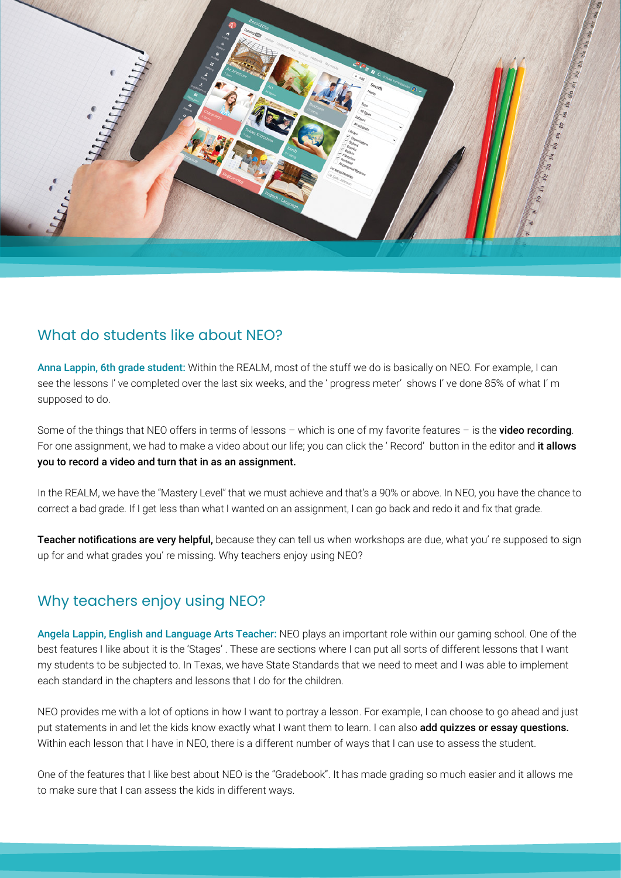

### What do students like about NFO?

Anna Lappin, 6th grade student: Within the REALM, most of the stuff we do is basically on NEO. For example, I can see the lessons I' ve completed over the last six weeks, and the ' progress meter' shows I' ve done 85% of what I' m supposed to do.

Some of the things that NEO offers in terms of lessons – which is one of my favorite features – is the **video recording**. For one assignment, we had to make a video about our life; you can click the 'Record' button in the editor and it allows you to record a video and turn that in as an assignment.

In the REALM, we have the "Mastery Level" that we must achieve and that's a 90% or above. In NEO, you have the chance to correct a bad grade. If I get less than what I wanted on an assignment, I can go back and redo it and fix that grade.

Teacher notifications are very helpful, because they can tell us when workshops are due, what you' re supposed to sign up for and what grades you' re missing. Why teachers enjoy using NEO?

## Why teachers enjoy using NEO?

Angela Lappin, English and Language Arts Teacher: NEO plays an important role within our gaming school. One of the best features I like about it is the 'Stages' . These are sections where I can put all sorts of different lessons that I want my students to be subjected to. In Texas, we have State Standards that we need to meet and I was able to implement each standard in the chapters and lessons that I do for the children.

NEO provides me with a lot of options in how I want to portray a lesson. For example, I can choose to go ahead and just put statements in and let the kids know exactly what I want them to learn. I can also add quizzes or essay questions. Within each lesson that I have in NEO, there is a different number of ways that I can use to assess the student.

One of the features that I like best about NEO is the "Gradebook". It has made grading so much easier and it allows me to make sure that I can assess the kids in different ways.